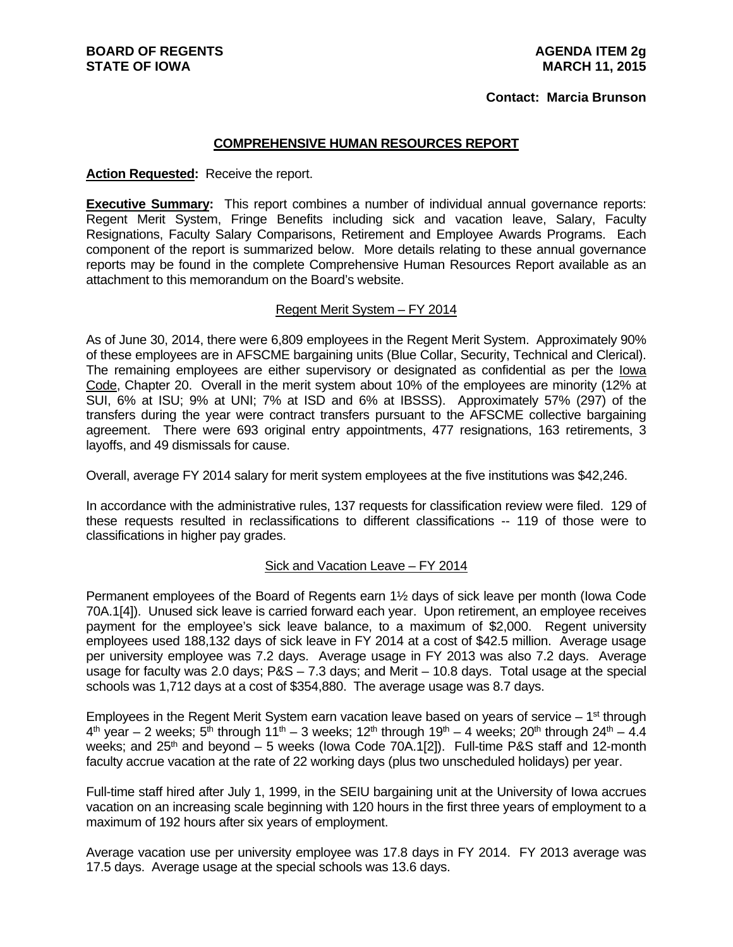#### **Contact: Marcia Brunson**

#### **COMPREHENSIVE HUMAN RESOURCES REPORT**

#### **Action Requested:** Receive the report.

**Executive Summary:** This report combines a number of individual annual governance reports: Regent Merit System, Fringe Benefits including sick and vacation leave, Salary, Faculty Resignations, Faculty Salary Comparisons, Retirement and Employee Awards Programs. Each component of the report is summarized below. More details relating to these annual governance reports may be found in the complete Comprehensive Human Resources Report available as an attachment to this memorandum on the Board's website.

#### Regent Merit System – FY 2014

As of June 30, 2014, there were 6,809 employees in the Regent Merit System. Approximately 90% of these employees are in AFSCME bargaining units (Blue Collar, Security, Technical and Clerical). The remaining employees are either supervisory or designated as confidential as per the Iowa Code, Chapter 20. Overall in the merit system about 10% of the employees are minority (12% at SUI, 6% at ISU; 9% at UNI; 7% at ISD and 6% at IBSSS). Approximately 57% (297) of the transfers during the year were contract transfers pursuant to the AFSCME collective bargaining agreement. There were 693 original entry appointments, 477 resignations, 163 retirements, 3 layoffs, and 49 dismissals for cause.

Overall, average FY 2014 salary for merit system employees at the five institutions was \$42,246.

In accordance with the administrative rules, 137 requests for classification review were filed. 129 of these requests resulted in reclassifications to different classifications -- 119 of those were to classifications in higher pay grades.

#### Sick and Vacation Leave – FY 2014

Permanent employees of the Board of Regents earn 1½ days of sick leave per month (Iowa Code 70A.1[4]). Unused sick leave is carried forward each year. Upon retirement, an employee receives payment for the employee's sick leave balance, to a maximum of \$2,000. Regent university employees used 188,132 days of sick leave in FY 2014 at a cost of \$42.5 million. Average usage per university employee was 7.2 days. Average usage in FY 2013 was also 7.2 days. Average usage for faculty was 2.0 days; P&S – 7.3 days; and Merit – 10.8 days. Total usage at the special schools was 1,712 days at a cost of \$354,880. The average usage was 8.7 days.

Employees in the Regent Merit System earn vacation leave based on years of service  $-1^{st}$  through  $4<sup>th</sup>$  year – 2 weeks;  $5<sup>th</sup>$  through 11<sup>th</sup> – 3 weeks; 12<sup>th</sup> through 19<sup>th</sup> – 4 weeks; 20<sup>th</sup> through 24<sup>th</sup> – 4.4 weeks; and  $25<sup>th</sup>$  and beyond  $-5$  weeks (lowa Code 70A.1[2]). Full-time P&S staff and 12-month faculty accrue vacation at the rate of 22 working days (plus two unscheduled holidays) per year.

Full-time staff hired after July 1, 1999, in the SEIU bargaining unit at the University of Iowa accrues vacation on an increasing scale beginning with 120 hours in the first three years of employment to a maximum of 192 hours after six years of employment.

Average vacation use per university employee was 17.8 days in FY 2014. FY 2013 average was 17.5 days. Average usage at the special schools was 13.6 days.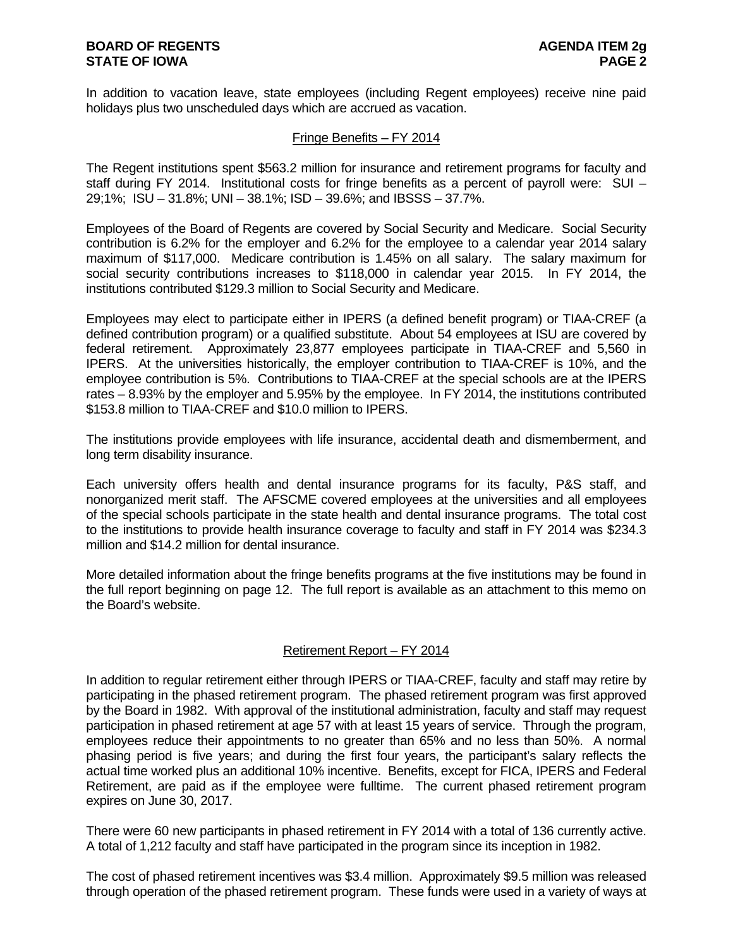In addition to vacation leave, state employees (including Regent employees) receive nine paid holidays plus two unscheduled days which are accrued as vacation.

#### Fringe Benefits – FY 2014

The Regent institutions spent \$563.2 million for insurance and retirement programs for faculty and staff during FY 2014. Institutional costs for fringe benefits as a percent of payroll were: SUI – 29;1%; ISU – 31.8%; UNI – 38.1%; ISD – 39.6%; and IBSSS – 37.7%.

Employees of the Board of Regents are covered by Social Security and Medicare. Social Security contribution is 6.2% for the employer and 6.2% for the employee to a calendar year 2014 salary maximum of \$117,000. Medicare contribution is 1.45% on all salary. The salary maximum for social security contributions increases to \$118,000 in calendar year 2015. In FY 2014, the institutions contributed \$129.3 million to Social Security and Medicare.

Employees may elect to participate either in IPERS (a defined benefit program) or TIAA-CREF (a defined contribution program) or a qualified substitute. About 54 employees at ISU are covered by federal retirement. Approximately 23,877 employees participate in TIAA-CREF and 5,560 in IPERS. At the universities historically, the employer contribution to TIAA-CREF is 10%, and the employee contribution is 5%. Contributions to TIAA-CREF at the special schools are at the IPERS rates – 8.93% by the employer and 5.95% by the employee. In FY 2014, the institutions contributed \$153.8 million to TIAA-CREF and \$10.0 million to IPERS.

The institutions provide employees with life insurance, accidental death and dismemberment, and long term disability insurance.

Each university offers health and dental insurance programs for its faculty, P&S staff, and nonorganized merit staff. The AFSCME covered employees at the universities and all employees of the special schools participate in the state health and dental insurance programs. The total cost to the institutions to provide health insurance coverage to faculty and staff in FY 2014 was \$234.3 million and \$14.2 million for dental insurance.

More detailed information about the fringe benefits programs at the five institutions may be found in the full report beginning on page 12. The full report is available as an attachment to this memo on the Board's website.

## Retirement Report – FY 2014

In addition to regular retirement either through IPERS or TIAA-CREF, faculty and staff may retire by participating in the phased retirement program. The phased retirement program was first approved by the Board in 1982. With approval of the institutional administration, faculty and staff may request participation in phased retirement at age 57 with at least 15 years of service. Through the program, employees reduce their appointments to no greater than 65% and no less than 50%. A normal phasing period is five years; and during the first four years, the participant's salary reflects the actual time worked plus an additional 10% incentive. Benefits, except for FICA, IPERS and Federal Retirement, are paid as if the employee were fulltime. The current phased retirement program expires on June 30, 2017.

There were 60 new participants in phased retirement in FY 2014 with a total of 136 currently active. A total of 1,212 faculty and staff have participated in the program since its inception in 1982.

The cost of phased retirement incentives was \$3.4 million. Approximately \$9.5 million was released through operation of the phased retirement program. These funds were used in a variety of ways at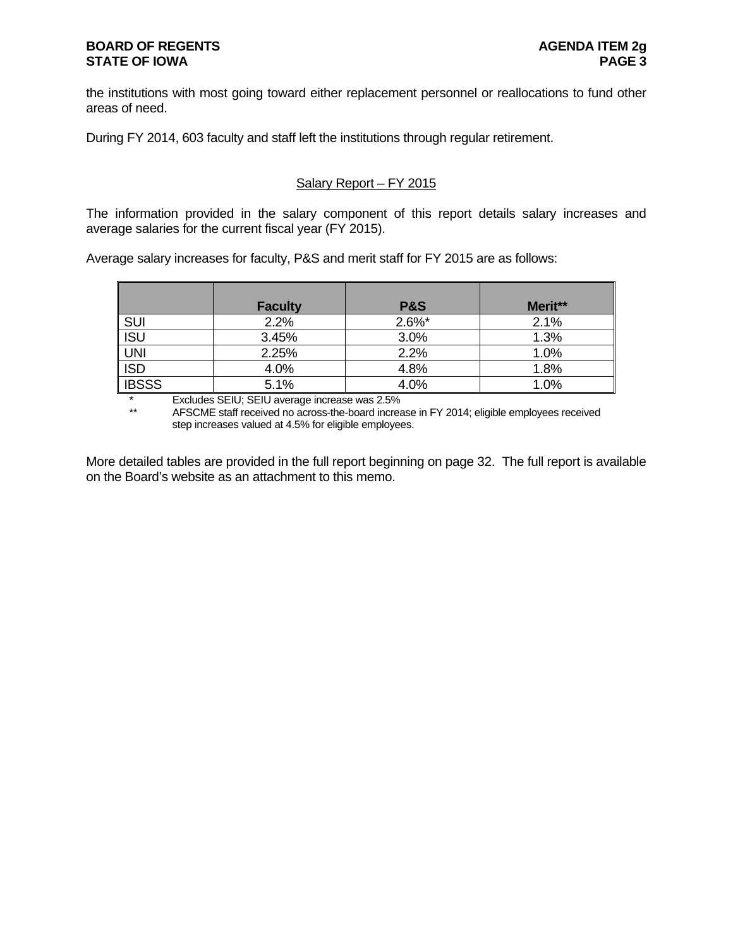the institutions with most going toward either replacement personnel or reallocations to fund other areas of need.

During FY 2014, 603 faculty and staff left the institutions through regular retirement.

## Salary Report – FY 2015

The information provided in the salary component of this report details salary increases and average salaries for the current fiscal year (FY 2015).

Average salary increases for faculty, P&S and merit staff for FY 2015 are as follows:

|              | <b>Faculty</b> | <b>P&amp;S</b> | Merit** |
|--------------|----------------|----------------|---------|
| SUI          | 2.2%           | $2.6\%$ *      | 2.1%    |
| <b>ISU</b>   | 3.45%          | 3.0%           | 1.3%    |
| <b>UNI</b>   | 2.25%          | 2.2%           | 1.0%    |
| <b>ISD</b>   | 4.0%           | 4.8%           | 1.8%    |
| <b>IBSSS</b> | 5.1%           | 4.0%           | 1.0%    |

\* Excludes SEIU; SEIU average increase was 2.5%<br>\*\* AESCALE staff received no across the board increa

AFSCME staff received no across-the-board increase in FY 2014; eligible employees received step increases valued at 4.5% for eligible employees.

More detailed tables are provided in the full report beginning on page 32. The full report is available on the Board's website as an attachment to this memo.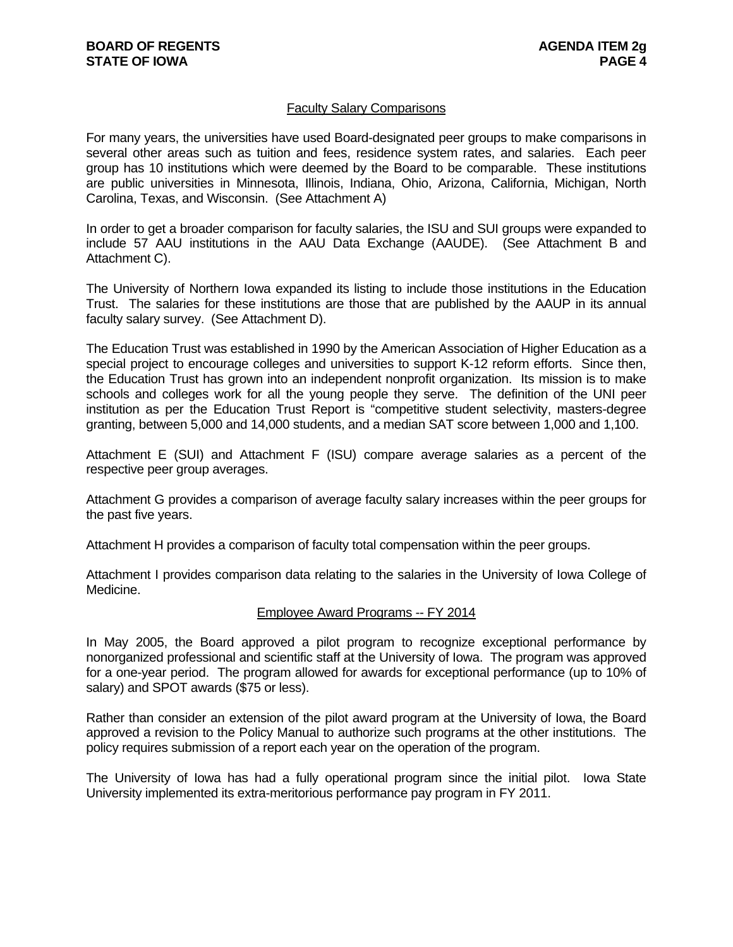### Faculty Salary Comparisons

For many years, the universities have used Board-designated peer groups to make comparisons in several other areas such as tuition and fees, residence system rates, and salaries. Each peer group has 10 institutions which were deemed by the Board to be comparable. These institutions are public universities in Minnesota, Illinois, Indiana, Ohio, Arizona, California, Michigan, North Carolina, Texas, and Wisconsin. (See Attachment A)

In order to get a broader comparison for faculty salaries, the ISU and SUI groups were expanded to include 57 AAU institutions in the AAU Data Exchange (AAUDE). (See Attachment B and Attachment C).

The University of Northern Iowa expanded its listing to include those institutions in the Education Trust. The salaries for these institutions are those that are published by the AAUP in its annual faculty salary survey. (See Attachment D).

The Education Trust was established in 1990 by the American Association of Higher Education as a special project to encourage colleges and universities to support K-12 reform efforts. Since then, the Education Trust has grown into an independent nonprofit organization. Its mission is to make schools and colleges work for all the young people they serve. The definition of the UNI peer institution as per the Education Trust Report is "competitive student selectivity, masters-degree granting, between 5,000 and 14,000 students, and a median SAT score between 1,000 and 1,100.

Attachment E (SUI) and Attachment F (ISU) compare average salaries as a percent of the respective peer group averages.

Attachment G provides a comparison of average faculty salary increases within the peer groups for the past five years.

Attachment H provides a comparison of faculty total compensation within the peer groups.

Attachment I provides comparison data relating to the salaries in the University of Iowa College of Medicine.

#### Employee Award Programs -- FY 2014

In May 2005, the Board approved a pilot program to recognize exceptional performance by nonorganized professional and scientific staff at the University of Iowa. The program was approved for a one-year period. The program allowed for awards for exceptional performance (up to 10% of salary) and SPOT awards (\$75 or less).

Rather than consider an extension of the pilot award program at the University of Iowa, the Board approved a revision to the Policy Manual to authorize such programs at the other institutions. The policy requires submission of a report each year on the operation of the program.

The University of Iowa has had a fully operational program since the initial pilot. Iowa State University implemented its extra-meritorious performance pay program in FY 2011.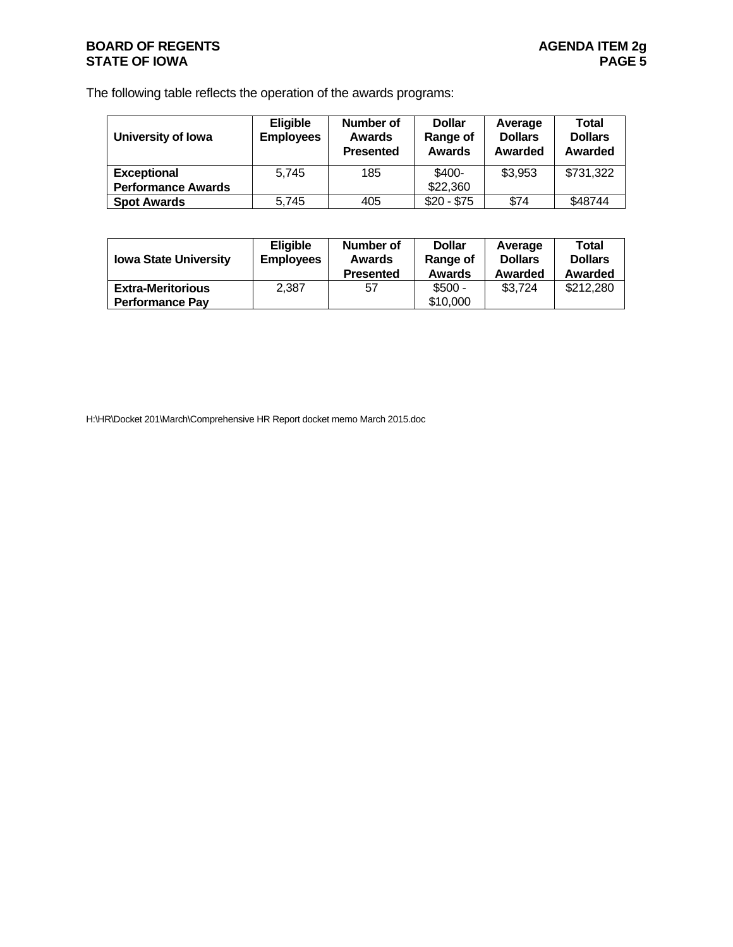## **BOARD OF REGENTS BOARD OF REGENTS STATE OF IOWA** PAGE 5

The following table reflects the operation of the awards programs:

| University of Iowa        | <b>Eligible</b><br><b>Employees</b> | Number of<br>Awards<br><b>Presented</b> | <b>Dollar</b><br>Range of<br><b>Awards</b> | Average<br><b>Dollars</b><br>Awarded | <b>Total</b><br><b>Dollars</b><br>Awarded |  |
|---------------------------|-------------------------------------|-----------------------------------------|--------------------------------------------|--------------------------------------|-------------------------------------------|--|
| <b>Exceptional</b>        | 5.745                               | 185                                     | \$400-                                     | \$3,953                              | \$731,322                                 |  |
| <b>Performance Awards</b> |                                     |                                         | \$22,360                                   |                                      |                                           |  |
| <b>Spot Awards</b>        | 5.745                               | 405                                     | $$20 - $75$                                | \$74                                 | \$48744                                   |  |

| <b>Eligible</b>                                    |       | Number of        | <b>Dollar</b>        | Average        | Total          |  |
|----------------------------------------------------|-------|------------------|----------------------|----------------|----------------|--|
| <b>Iowa State University</b>                       |       | Awards           | Range of             | <b>Dollars</b> | <b>Dollars</b> |  |
| <b>Employees</b>                                   |       | <b>Presented</b> | <b>Awards</b>        | Awarded        | Awarded        |  |
| <b>Extra-Meritorious</b><br><b>Performance Pav</b> | 2,387 | 57               | $$500 -$<br>\$10,000 | \$3,724        | \$212,280      |  |

H:\HR\Docket 201\March\Comprehensive HR Report docket memo March 2015.doc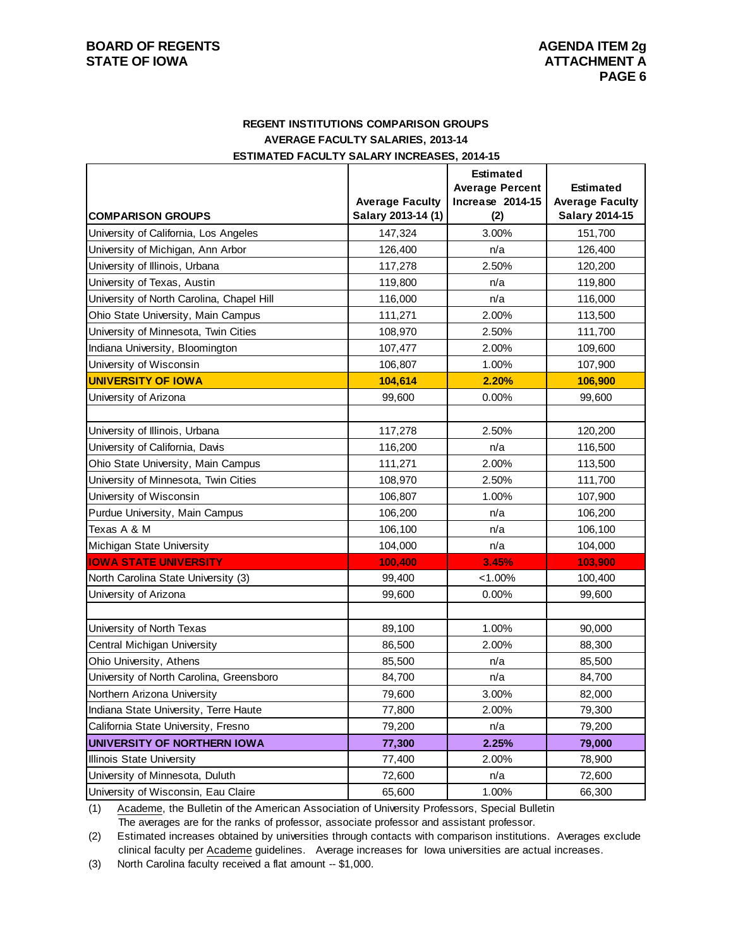### **REGENT INSTITUTIONS COMPARISON GROUPS AVERAGE FACULTY SALARIES, 2013-14 ESTIMATED FACULTY SALARY INCREASES, 2014-15**

|                                           |                        | <b>Estimated</b><br><b>Average Percent</b> | <b>Estimated</b>       |
|-------------------------------------------|------------------------|--------------------------------------------|------------------------|
|                                           | <b>Average Faculty</b> | Increase 2014-15                           | <b>Average Faculty</b> |
| <b>COMPARISON GROUPS</b>                  | Salary 2013-14 (1)     | (2)                                        | Salary 2014-15         |
| University of California, Los Angeles     | 147.324                | 3.00%                                      | 151,700                |
| University of Michigan, Ann Arbor         | 126,400                | n/a                                        | 126,400                |
| University of Illinois, Urbana            | 117,278                | 2.50%                                      | 120,200                |
| University of Texas, Austin               | 119,800                | n/a                                        | 119,800                |
| University of North Carolina, Chapel Hill | 116,000                | n/a                                        | 116,000                |
| Ohio State University, Main Campus        | 111,271                | 2.00%                                      | 113,500                |
| University of Minnesota, Twin Cities      | 108,970                | 2.50%                                      | 111,700                |
| Indiana University, Bloomington           | 107,477                | 2.00%                                      | 109,600                |
| University of Wisconsin                   | 106,807                | 1.00%                                      | 107,900                |
| <b>UNIVERSITY OF IOWA</b>                 | 104,614                | 2.20%                                      | 106,900                |
| University of Arizona                     | 99,600                 | 0.00%                                      | 99,600                 |
|                                           |                        |                                            |                        |
| University of Illinois, Urbana            | 117,278                | 2.50%                                      | 120,200                |
| University of California, Davis           | 116,200                | n/a                                        | 116,500                |
| Ohio State University, Main Campus        | 111,271                | 2.00%                                      | 113,500                |
| University of Minnesota, Twin Cities      | 108,970                | 2.50%                                      | 111,700                |
| University of Wisconsin                   | 106,807                | 1.00%                                      | 107,900                |
| Purdue University, Main Campus            | 106,200                | n/a                                        | 106,200                |
| Texas A & M                               | 106,100                | n/a                                        | 106,100                |
| Michigan State University                 | 104,000                | n/a                                        | 104,000                |
| <b>IOWA STATE UNIVERSITY</b>              | 100,400                | 3.45%                                      | 103,900                |
| North Carolina State University (3)       | 99,400                 | $< 1.00\%$                                 | 100,400                |
| University of Arizona                     | 99,600                 | 0.00%                                      | 99,600                 |
|                                           |                        |                                            |                        |
| University of North Texas                 | 89,100                 | 1.00%                                      | 90,000                 |
| Central Michigan University               | 86,500                 | 2.00%                                      | 88,300                 |
| Ohio University, Athens                   | 85,500                 | n/a                                        | 85,500                 |
| University of North Carolina, Greensboro  | 84,700                 | n/a                                        | 84,700                 |
| Northern Arizona University               | 79,600                 | 3.00%                                      | 82,000                 |
| Indiana State University, Terre Haute     | 77,800                 | 2.00%                                      | 79,300                 |
| California State University, Fresno       | 79,200                 | n/a                                        | 79,200                 |
| UNIVERSITY OF NORTHERN IOWA               | 77,300                 | 2.25%                                      | 79,000                 |
| Illinois State University                 | 77,400                 | 2.00%                                      | 78,900                 |
| University of Minnesota, Duluth           | 72,600                 | n/a                                        | 72,600                 |
| University of Wisconsin, Eau Claire       | 65,600                 | 1.00%                                      | 66,300                 |

(1) Academe, the Bulletin of the American Association of University Professors, Special Bulletin The averages are for the ranks of professor, associate professor and assistant professor.

(2) Estimated increases obtained by universities through contacts with comparison institutions. Averages exclude clinical faculty per Academe guidelines. Average increases for Iowa universities are actual increases.

(3) North Carolina faculty received a flat amount -- \$1,000.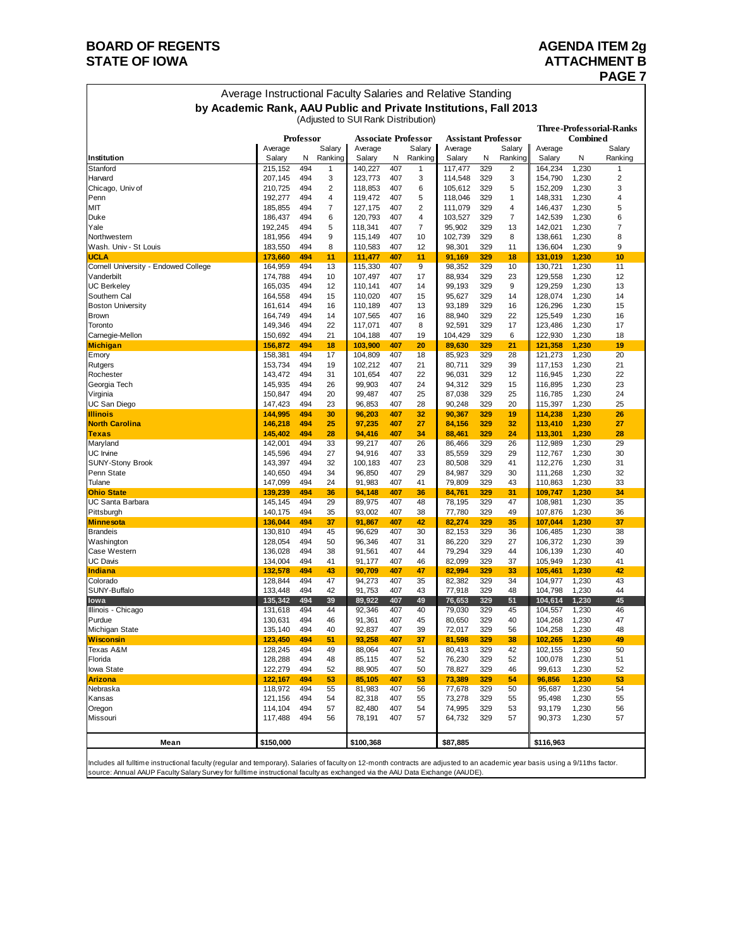## **BOARD OF REGENTS AGENERY AGENERATION STATE OF IOWA** AND **ATTACHMENT B**

## **PAGE 7**

| Average Instructional Faculty Salaries and Relative Standing     |
|------------------------------------------------------------------|
| by Academic Rank, AAU Public and Private Institutions, Fall 2013 |

**Three-Professorial-Ranks Professor Associate Professor Assistant Professor Combined**<br>Average Salary | Average Salary | Average Salary | Average Salary | Average Salary Average Salary Average Salary Average Salary Average Salary **Institution Salary N Ranking Salary N Ranking Salary N Ranking Salary N Ranking Salary N Ranking** Stanford 215,152 494 1 140,227 407 1 117,477 329 2 164,234 1,230 1 Harvard 207,145 494 3 123,773 407 3 114,548 329 3 154,790 1,230 2 Chicago, Univ of 210,725 494 2 118,853 407 6 105,612 329 5 152,209 1,230 3 Penn 192,277 494 4 119,472 407 5 118,046 329 1 148,331 1,230 4 MIT 185,855 494 7 127,175 407 2 111,079 329 4 146,437 1,230 5 Duke 186,437 494 6 120,793 407 4 103,527 329 7 142,539 1,230 6 Yale 192,245 494 5 118,341 407 7 95,902 329 13 142,021 1,230 7 Northwestern 181,956 494 9 115,149 407 10 102,739 329 8 138,661 1,230 8 Wash. Univ - St Louis | No. 2008 | 183,550 194 8 | 110,583 107 12 | 98,301 329 11 | 136,604 1,230 9 **UCLA 173,660 494 11 111,477 407 11 91,169 329 18 131,019 1,230 10** Cornell University - Endowed College 164,959 494 13 115,330 407 9 98,352 329 10 130,721 1,230 11 Vanderbilt 174,788 494 10 107,497 407 17 88,934 329 23 129,558 1,230 12 UC Berkeley 165,035 494 12 110,141 407 14 99,193 329 9 129,259 1,230 13 Southern Cal 164,558 494 15 110,020 407 15 95,627 329 14 128,074 1,230 14 Boston University 161,614 494 16 110,189 407 13 93,189 329 16 126,296 1,230 15 Brown 164,749 494 14 107,565 407 16 88,940 329 22 125,549 1,230 16 Toronto 149,346 494 22 117,071 407 8 92,591 329 17 123,486 1,230 17 Carnegie-Mellon 150,692 494 21 104,188 407 19 104,429 329 6 122,930 1,230 18 **Michigan 156,872 494 18 103,900 407 20 89,630 329 21 121,358 1,230 19** Emory 158,381 494 17 104,809 407 18 85,923 329 28 121,273 1,230 20 Rutgers 153,734 494 19 102,212 407 21 80,711 329 39 117,153 1,230 21 Rochester 143,472 494 31 101,654 407 22 96,031 329 12 116,945 1,230 22 Georgia Tech 145,935 494 26 99,903 407 24 94,312 329 15 116,895 1,230 23 Virginia 150,847 494 20 99,487 407 25 87,038 329 25 116,785 1,230 24 UC San Diego 147,423 494 23 96,853 407 28 90,248 329 20 115,397 1,230 25 **Illinois 144,995 494 30 96,203 407 32 90,367 329 19 114,238 1,230 26 North Carolina 146,218 494 25 97,235 407 27 84,156 329 32 113,410 1,230 27 Texas 145,402 494 28 94,416 407 34 88,461 329 24 113,301 1,230 28** 142,001 494 33 99,217 407 26 86,466 329 26 112,989 1,230 29 29 26 29 112,989 1,230 UC Irvine 145,596 494 27 94,916 407 33 85,559 329 29 112,767 1,230 30 SUNY-Stony Brook 143,397 494 32 100,183 407 23 80,508 329 41 112,276 1,230 31 Penn State 140,650 494 34 96,850 407 29 84,987 329 30 111,268 1,230 32 Tulane 147,099 494 24 91,983 407 41 79,809 329 43 110,863 1,230 33 **Ohio State 139,239 494 36 94,148 407 36 84,761 329 31 109,747 1,230 34** UC Santa Barbara 145,145 494 29 89,975 407 48 78,195 329 47 108,981 1,230 35<br>Pittsburgh 107,876 1,230 36 140,175 494 35 93,002 407 38 77,780 329 49 107,876 1,230 36 Pittsburgh 140,175 494 35 93,002 407 38 77,780 329 49 107,876 1,230 36 **Minnesota 136,044 494 37 91,867 407 42 82,274 329 35 107,044 1,230 37** Brandeis 130,810 494 45 96,629 407 30 82,153 329 36 106,485 1,230 38 Washington 128,054 494 50 96,346 407 31 86,220 329 27 106,372 1,230 39 Case Western 136,028 494 38 91,561 407 44 79,294 329 44 106,139 1,230 40 UC Davis 134,004 494 41 91,177 407 46 82,099 329 37 105,949 1,230 41 **Indiana 132,578 494 43 90,709 407 47 82,994 329 33 105,461 1,230 42** Colorado 128,844 494 47 94,273 407 35 82,382 329 34 104,977 1,230 43 SUNY-Buffalo 133,448 494 42 91,753 407 43 77,918 329 48 104,798 1,230 44 **Iowa 135,342 494 39 89,922 407 49 76,653 329 51 104,614 1,230 45** Illinois - Chicago 131,618 494 44 92,346 407 40 79,030 329 45 104,557 1,230 46 Purdue 130,631 494 46 91,361 407 45 80,650 329 40 104,268 1,230 47 Michigan State 135,140 494 40 92,837 407 39 72,017 329 56 104,258 1,230 48 **Wisconsin 123,450 494 51 93,258 407 37 81,598 329 38 102,265 1,230 49** Texas A&M 128,245 494 49 88,064 407 51 80,413 329 42 102,155 1,230 50 Florida 128,288 494 48 85,115 407 52 76,230 329 52 100,078 1,230 51 Iowa State 122,279 494 52 88,905 407 50 78,827 329 46 99,613 1,230 52 **Arizona 122,167 494 53 85,105 407 53 73,389 329 54 96,856 1,230 53** Nebraska 118,972 494 55 81,983 407 56 77,678 329 50 95,687 1,230 54 Kansas 121,156 494 54 82,318 407 55 73,278 329 55 95,498 1,230 55 Oregon 114,104 494 57 82,480 407 54 74,995 329 53 93,179 1,230 56 Missouri 117,488 494 56 78,191 407 57 64,732 329 57 90,373 1,230 57 Mean \$150,000 \$100,368 \$87,885 \$100,368 \$100,368 \$116,963 (Adjusted to SUI Rank Distribution)

Includes all fulltime instructional faculty (regular and temporary). Salaries of faculty on 12-month contracts are adjusted to an academic year basis using a 9/11ths factor. source: Annual AAUP Faculty Salary Survey for fulltime instructional faculty as exchanged via the AAU Data Exchange (AAUDE).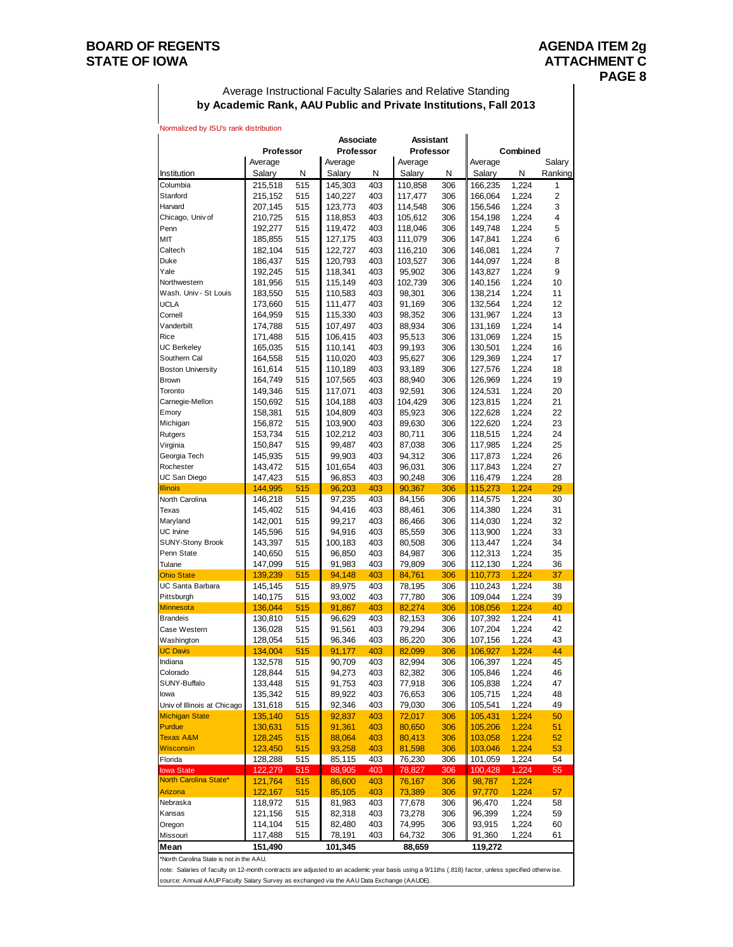### **BOARD OF REGENTS** AGENDA ITEM 2g STATE OF IOWA **ATTACHMENT C**

#### Average Instructional Faculty Salaries and Relative Standing **by Academic Rank, AAU Public and Private Institutions, Fall 2013**

|                                   |                    |            | <b>Associate</b>  |            | <b>Assistant</b>  |            |                    |                |                   |
|-----------------------------------|--------------------|------------|-------------------|------------|-------------------|------------|--------------------|----------------|-------------------|
|                                   | <b>Professor</b>   |            | Professor         |            | Professor         |            |                    | Combined       |                   |
| Institution                       | Average<br>Salary  | N          | Average<br>Salary | N          | Average<br>Salary | N          | Average<br>Salary  | Ν              | Salary<br>Ranking |
| Columbia                          | 215,518            | 515        | 145,303           | 403        | 110,858           | 306        | 166,235            | 1,224          | 1                 |
| Stanford                          | 215,152            | 515        | 140,227           | 403        | 117,477           | 306        | 166,064            | 1,224          | 2                 |
| Harvard                           | 207,145            | 515        | 123,773           | 403        | 114,548           | 306        | 156,546            | 1,224          | 3                 |
| Chicago, Univ of                  | 210,725            | 515        | 118,853           | 403        | 105,612           | 306        | 154,198            | 1,224          | 4                 |
| Penn                              | 192,277            | 515        | 119,472           | 403        | 118,046           | 306        | 149,748            | 1,224          | 5                 |
| MIT                               | 185,855            | 515        | 127,175           | 403        | 111,079           | 306        | 147,841            | 1,224          | 6                 |
| Caltech                           | 182,104            | 515        | 122,727           | 403        | 116,210           | 306        | 146,081            | 1,224          | 7                 |
| Duke                              | 186,437            | 515        | 120,793           | 403        | 103,527           | 306        | 144,097            | 1,224          | 8                 |
| Yale                              | 192,245            | 515        | 118,341           | 403        | 95,902            | 306        | 143,827            | 1,224          | 9                 |
| Northwestern                      | 181,956            | 515        | 115,149           | 403        | 102,739           | 306        | 140,156            | 1,224          | 10                |
| Wash. Univ - St Louis             | 183,550            | 515        | 110,583           | 403        | 98,301            | 306        | 138,214            | 1,224          | 11                |
| UCLA                              | 173,660            | 515        | 111,477           | 403        | 91,169            | 306        | 132,564            | 1,224          | 12                |
| Cornell                           | 164,959            | 515        | 115,330           | 403        | 98,352            | 306        | 131,967            | 1,224          | 13                |
| Vanderbilt                        | 174,788            | 515        | 107,497           | 403        | 88,934            | 306        | 131,169            | 1,224          | 14                |
| Rice                              | 171,488            | 515        | 106,415           | 403        | 95,513            | 306        | 131,069            | 1,224          | 15                |
| <b>UC Berkeley</b>                | 165,035            | 515        | 110,141           | 403        | 99,193            | 306        | 130,501            | 1,224          | 16                |
| Southern Cal                      | 164,558            | 515        | 110,020           | 403        | 95,627            | 306        | 129,369            | 1,224          | 17                |
| <b>Boston University</b>          | 161,614            | 515        | 110,189           | 403        | 93,189            | 306        | 127,576            | 1,224          | 18                |
| <b>Brown</b>                      | 164,749            | 515        | 107,565           | 403        | 88,940            | 306        | 126,969            | 1,224          | 19                |
| Toronto                           | 149,346            | 515        | 117,071           | 403        | 92,591            | 306        | 124,531            | 1,224          | 20                |
| Carnegie-Mellon                   | 150,692            | 515        | 104,188           | 403        | 104,429           | 306        | 123,815            | 1,224          | 21                |
| Emory                             | 158,381            | 515        | 104,809           | 403        | 85,923            | 306        | 122,628            | 1,224          | 22                |
| Michigan                          | 156,872            | 515        | 103,900           | 403        | 89,630            | 306        | 122,620            | 1,224          | 23                |
| Rutgers                           | 153,734            | 515        | 102,212           | 403        | 80,711            | 306        | 118,515            | 1,224          | 24                |
| Virginia                          | 150,847            | 515        | 99,487            | 403        | 87,038            | 306        | 117,985            | 1,224          | 25                |
| Georgia Tech                      | 145,935            | 515        | 99,903            | 403        | 94,312            | 306        | 117,873            | 1,224          | 26                |
| Rochester                         | 143,472            | 515        | 101,654           | 403        | 96,031            | 306        | 117,843            | 1,224          | 27                |
| UC San Diego                      | 147,423            | 515        | 96,853            | 403        | 90,248            | 306        | 116,479            | 1,224          | 28                |
| <b>Illinois</b><br>North Carolina | 144,995            | 515        | 96,203            | 403        | 90,367            | 306        | 115,273            | 1,224          | 29                |
| Texas                             | 146,218            | 515<br>515 | 97,235            | 403<br>403 | 84,156            | 306<br>306 | 114,575<br>114,380 | 1,224          | 30<br>31          |
| Maryland                          | 145,402            | 515        | 94,416<br>99,217  | 403        | 88,461            | 306        |                    | 1,224<br>1,224 | 32                |
| UC Irvine                         | 142,001<br>145,596 | 515        | 94,916            | 403        | 86,466<br>85,559  | 306        | 114,030<br>113,900 | 1,224          | 33                |
| <b>SUNY-Stony Brook</b>           | 143,397            | 515        | 100,183           | 403        | 80,508            | 306        | 113,447            | 1,224          | 34                |
| Penn State                        | 140,650            | 515        | 96,850            | 403        | 84,987            | 306        | 112,313            | 1,224          | 35                |
| Tulane                            | 147,099            | 515        | 91,983            | 403        | 79,809            | 306        | 112,130            | 1,224          | 36                |
| <b>Ohio State</b>                 | 139,239            | 515        | 94,148            | 403        | 84,761            | 306        | 110,773            | 1,224          | 37                |
| UC Santa Barbara                  | 145,145            | 515        | 89,975            | 403        | 78,195            | 306        | 110,243            | 1,224          | 38                |
| Pittsburgh                        | 140,175            | 515        | 93,002            | 403        | 77,780            | 306        | 109,044            | 1,224          | 39                |
| <b>Minnesota</b>                  | 136,044            | 515        | 91,867            | 403        | 82,274            | 306        | 108,056            | 1,224          | 40                |
| <b>Brandeis</b>                   | 130,810            | 515        | 96,629            | 403        | 82,153            | 306        | 107,392            | 1,224          | 41                |
| Case Western                      | 136,028            | 515        | 91,561            | 403        | 79,294            | 306        | 107,204            | 1,224          | 42                |
| Washington                        | 128,054            | 515        | 96,346            | 403        | 86,220            | 306        | 107,156            | 1,224          | 43                |
| <b>UC Davis</b>                   | 134,004            | 515        | 91,177            | 403        | 82,099            | 306        | 106,927            | 1,224          | 44                |
| Indiana                           | 132,578            | 515        | 90,709            | 403        | 82,994            | 306        | 106,397            | 1,224          | 45                |
| Colorado                          | 128,844            | 515        | 94,273            | 403        | 82,382            | 306        | 105,846            | 1,224          | 46                |
| SUNY-Buffalo                      | 133,448            | 515        | 91,753            | 403        | 77,918            | 306        | 105,838            | 1,224          | 47                |
| lowa                              | 135,342            | 515        | 89,922            | 403        | 76,653            | 306        | 105,715            | 1,224          | 48                |
| Univ of Illinois at Chicago       | 131,618            | 515        | 92,346            | 403        | 79,030            | 306        | 105,541            | 1,224          | 49                |
| <b>Michigan State</b>             | 135,140            | 515        | 92,837            | 403        | 72,017            | 306        | 105,431            | 1,224          | 50                |
| Purdue                            | 130,631            | 515        | 91,361            | 403        | 80,650            | 306        | 105,206            | 1,224          | 51                |
| Texas A&M                         | 128,245            | 515        | 88,064            | 403        | 80,413            | 306        | 103,058            | 1,224          | 52                |
| <b>Wisconsin</b>                  | 123,450            | 515        | 93,258            | 403        | 81,598            | 306        | 103,046            | 1,224          | 53                |
| Florida                           | 128,288            | 515        | 85,115            | 403        | 76,230            | 306        | 101,059            | 1,224          | 54                |
| <b>lowa State</b>                 | 122,279            | 515        | 88,905            | 403        | 78,827            | 306        | 100,428            | 1,224          | 55                |
| North Carolina State*             | 121,764            | 515        | 86,600            | 403        | 76,167            | 306        | 98,787             | 1,224          |                   |
| Arizona                           | 122,167            | 515        | 85,105            | 403        | 73,389            | 306        | 97,770             | 1,224          | 57                |

**Mean 151,490 101,345 88,659 119,272** \*North Carolina State is not in the AAU.

note: Salaries of faculty on 12-month contracts are adjusted to an academic year basis using a 9/11ths (.818) factor, unless specified otherw ise. source: Annual AAUP Faculty Salary Survey as exchanged via the AAU Data Exchange (AAUDE).

Nebraska 118,972 515 81,983 403 77,678 306 96,470 1,224 58 Kansas 121,156 515 82,318 403 73,278 306 96,399 1,224 59 Oregon 114,104 515 82,480 403 74,995 306 93,915 1,224 60 Missouri 117,488 515 78,191 403 64,732 306 91,360 1,224 61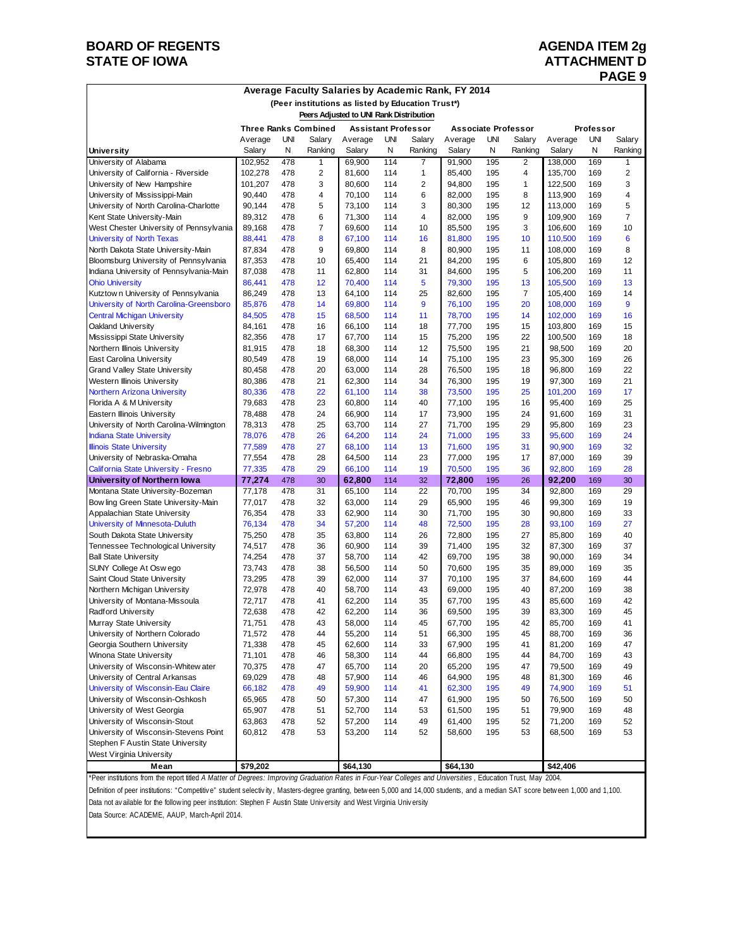## **BOARD OF REGENTS AGENDA ITEM 2g STATE OF IOWA ATTACHMENT D**

# **PAGE 9**

| Average Faculty Salaries by Academic Rank, FY 2014 |  |  |  |  |  |  |
|----------------------------------------------------|--|--|--|--|--|--|
|----------------------------------------------------|--|--|--|--|--|--|

| (Peer institutions as listed by Education Trust*)                              |                             |            |                            |                                         |                            |                |                  |            |                      |                    |            |          |
|--------------------------------------------------------------------------------|-----------------------------|------------|----------------------------|-----------------------------------------|----------------------------|----------------|------------------|------------|----------------------|--------------------|------------|----------|
|                                                                                |                             |            |                            | Peers Adjusted to UNI Rank Distribution |                            |                |                  |            |                      |                    |            |          |
|                                                                                | <b>Three Ranks Combined</b> |            | <b>Assistant Professor</b> |                                         | <b>Associate Professor</b> |                |                  | Professor  |                      |                    |            |          |
|                                                                                | Average                     | UNI        | Salary                     | Average                                 | UNI                        | Salary         | Average          | UNI        | Salary               | Average            | <b>UNI</b> | Salary   |
| <b>University</b>                                                              | Salary                      | N          | Ranking                    | Salary                                  | N                          | Ranking        | Salary           | N          | Ranking              | Salary             | N          | Ranking  |
| University of Alabama                                                          | 102,952                     | 478        | 1                          | 69,900                                  | 114                        | 7              | 91,900           | 195        | $\overline{2}$       | 138,000            | 169        | 1        |
| University of California - Riverside                                           | 102,278                     | 478        | 2                          | 81,600                                  | 114                        | 1              | 85,400           | 195        | 4                    | 135,700            | 169        | 2        |
| University of New Hampshire                                                    | 101,207                     | 478        | 3                          | 80,600                                  | 114                        | $\overline{2}$ | 94,800           | 195        | $\mathbf{1}$         | 122,500            | 169        | 3        |
| University of Mississippi-Main                                                 | 90,440                      | 478        | 4                          | 70,100                                  | 114                        | 6              | 82,000           | 195        | 8                    | 113,900            | 169        | 4        |
| University of North Carolina-Charlotte                                         | 90,144                      | 478        | 5                          | 73,100                                  | 114                        | 3              | 80,300           | 195        | 12                   | 113,000            | 169        | 5        |
| Kent State University-Main                                                     | 89,312                      | 478        | 6                          | 71,300                                  | 114                        | 4              | 82,000           | 195        | 9                    | 109,900            | 169        | 7        |
| West Chester University of Pennsylvania                                        | 89,168                      | 478        | $\overline{7}$             | 69,600                                  | 114                        | 10             | 85,500           | 195        | 3                    | 106,600            | 169        | 10       |
| University of North Texas                                                      | 88,441                      | 478        | 8                          | 67,100                                  | 114                        | 16             | 81,800           | 195        | 10                   | 110,500            | 169        | 6        |
| North Dakota State University-Main                                             | 87,834                      | 478        | 9                          | 69.800                                  | 114                        | 8              | 80,900           | 195        | 11                   | 108,000            | 169        | 8        |
| Bloomsburg University of Pennsylvania                                          | 87,353                      | 478        | 10                         | 65,400                                  | 114                        | 21             | 84,200           | 195        | 6                    | 105,800            | 169        | 12       |
| Indiana University of Pennsylvania-Main                                        | 87,038                      | 478        | 11                         | 62,800                                  | 114                        | 31             | 84,600           | 195        | 5                    | 106,200            | 169        | 11       |
| <b>Ohio University</b>                                                         | 86,441                      | 478<br>478 | 12<br>13                   | 70,400                                  | 114<br>114                 | 5<br>25        | 79,300           | 195        | 13<br>$\overline{7}$ | 105,500            | 169<br>169 | 13<br>14 |
| Kutztown University of Pennsylvania<br>University of North Carolina-Greensboro | 86,249<br>85,876            | 478        | 14                         | 64,100<br>69,800                        | 114                        | 9              | 82,600<br>76,100 | 195<br>195 | 20                   | 105,400<br>108,000 | 169        | 9        |
| <b>Central Michigan University</b>                                             | 84,505                      | 478        | 15                         | 68,500                                  | 114                        | 11             | 78,700           | 195        | 14                   | 102,000            | 169        | 16       |
| Oakland University                                                             | 84,161                      | 478        | 16                         | 66,100                                  | 114                        | 18             | 77,700           | 195        | 15                   | 103,800            | 169        | 15       |
| Mississippi State University                                                   | 82,356                      | 478        | 17                         | 67,700                                  | 114                        | 15             | 75,200           | 195        | 22                   | 100,500            | 169        | 18       |
| Northern Illinois University                                                   | 81,915                      | 478        | 18                         | 68,300                                  | 114                        | 12             | 75,500           | 195        | 21                   | 98,500             | 169        | 20       |
| East Carolina University                                                       | 80,549                      | 478        | 19                         | 68,000                                  | 114                        | 14             | 75,100           | 195        | 23                   | 95,300             | 169        | 26       |
| <b>Grand Valley State University</b>                                           | 80,458                      | 478        | 20                         | 63,000                                  | 114                        | 28             | 76,500           | 195        | 18                   | 96,800             | 169        | 22       |
| <b>Western Illinois University</b>                                             | 80,386                      | 478        | 21                         | 62,300                                  | 114                        | 34             | 76,300           | 195        | 19                   | 97,300             | 169        | 21       |
| <b>Northern Arizona University</b>                                             | 80,336                      | 478        | 22                         | 61,100                                  | 114                        | 38             | 73,500           | 195        | 25                   | 101,200            | 169        | 17       |
| Florida A & M University                                                       | 79,683                      | 478        | 23                         | 60,800                                  | 114                        | 40             | 77,100           | 195        | 16                   | 95,400             | 169        | 25       |
| Eastern Illinois University                                                    | 78.488                      | 478        | 24                         | 66,900                                  | 114                        | 17             | 73,900           | 195        | 24                   | 91,600             | 169        | 31       |
| University of North Carolina-Wilmington                                        | 78,313                      | 478        | 25                         | 63,700                                  | 114                        | 27             | 71,700           | 195        | 29                   | 95,800             | 169        | 23       |
| <b>Indiana State University</b>                                                | 78,076                      | 478        | 26                         | 64,200                                  | 114                        | 24             | 71,000           | 195        | 33                   | 95.600             | 169        | 24       |
| <b>Illinois State University</b>                                               | 77,589                      | 478        | 27                         | 68,100                                  | 114                        | 13             | 71,600           | 195        | 31                   | 90,900             | 169        | 32       |
| University of Nebraska-Omaha                                                   | 77,554                      | 478        | 28                         | 64,500                                  | 114                        | 23             | 77,000           | 195        | 17                   | 87,000             | 169        | 39       |
| California State University - Fresno                                           | 77,335                      | 478        | 29                         | 66,100                                  | 114                        | 19             | 70,500           | 195        | 36                   | 92,800             | 169        | 28       |
| University of Northern Iowa                                                    | 77,274                      | 478        | 30                         | 62,800                                  | 114                        | 32             | 72,800           | 195        | 26                   | 92,200             | 169        | 30       |
| Montana State University-Bozeman                                               | 77,178                      | 478        | 31                         | 65,100                                  | 114                        | 22             | 70,700           | 195        | 34                   | 92,800             | 169        | 29       |
| Bow ling Green State University-Main                                           | 77,017                      | 478        | 32                         | 63,000                                  | 114                        | 29             | 65,900           | 195        | 46                   | 99,300             | 169        | 19       |
| Appalachian State University                                                   | 76,354                      | 478        | 33                         | 62,900                                  | 114                        | 30             | 71,700           | 195        | 30                   | 90,800             | 169        | 33       |
| University of Minnesota-Duluth                                                 | 76,134                      | 478        | 34                         | 57,200                                  | 114                        | 48             | 72,500           | 195        | 28                   | 93,100             | 169        | 27       |
| South Dakota State University                                                  | 75,250                      | 478        | 35                         | 63,800                                  | 114                        | 26             | 72,800           | 195        | 27                   | 85,800             | 169        | 40       |
| Tennessee Technological University                                             | 74,517                      | 478        | 36                         | 60,900                                  | 114                        | 39             | 71,400           | 195        | 32                   | 87,300             | 169        | 37       |
| <b>Ball State University</b>                                                   | 74,254                      | 478<br>478 | 37<br>38                   | 58,700                                  | 114<br>114                 | 42<br>50       | 69,700<br>70,600 | 195<br>195 | 38<br>35             | 90,000<br>89,000   | 169<br>169 | 34<br>35 |
| SUNY College At Oswego<br>Saint Cloud State University                         | 73,743<br>73,295            | 478        | 39                         | 56,500<br>62.000                        | 114                        | 37             | 70.100           | 195        | 37                   | 84,600             | 169        | 44       |
| Northern Michigan University                                                   | 72,978                      | 478        | 40                         | 58,700                                  | 114                        | 43             | 69,000           | 195        | 40                   | 87,200             | 169        | 38       |
| University of Montana-Missoula                                                 | 72,717                      | 478        | 41                         | 62,200                                  | 114                        | 35             | 67,700           | 195        | 43                   | 85,600             | 169        | 42       |
| Radford University                                                             | 72,638                      | 478        | 42                         | 62,200                                  | 114                        | 36             | 69,500           | 195        | 39                   | 83,300             | 169        | 45       |
| Murray State University                                                        | 71,751                      | 478        | 43                         | 58,000                                  | 114                        | 45             | 67,700           | 195        | 42                   | 85,700             | 169        | 41       |
| University of Northern Colorado                                                | 71,572                      | 478        | 44                         | 55,200                                  | 114                        | 51             | 66,300           | 195        | 45                   | 88,700             | 169        | 36       |
| Georgia Southern University                                                    | 71,338                      | 478        | 45                         | 62,600                                  | 114                        | 33             | 67,900           | 195        | 41                   | 81,200             | 169        | 47       |
| Winona State University                                                        | 71,101                      | 478        | 46                         | 58,300                                  | 114                        | 44             | 66,800           | 195        | 44                   | 84,700             | 169        | 43       |
| University of Wisconsin-Whitew ater                                            | 70,375                      | 478        | 47                         | 65,700                                  | 114                        | 20             | 65,200           | 195        | 47                   | 79,500             | 169        | 49       |
| University of Central Arkansas                                                 | 69,029                      | 478        | 48                         | 57,900                                  | 114                        | 46             | 64,900           | 195        | 48                   | 81,300             | 169        | 46       |
| University of Wisconsin-Eau Claire                                             | 66,182                      | 478        | 49                         | 59,900                                  | 114                        | 41             | 62,300           | 195        | 49                   | 74,900             | 169        | 51       |
| University of Wisconsin-Oshkosh                                                | 65,965                      | 478        | 50                         | 57,300                                  | 114                        | 47             | 61,900           | 195        | 50                   | 76,500             | 169        | 50       |
| University of West Georgia                                                     | 65,907                      | 478        | 51                         | 52,700                                  | 114                        | 53             | 61,500           | 195        | 51                   | 79,900             | 169        | 48       |
| University of Wisconsin-Stout                                                  | 63,863                      | 478        | 52                         | 57,200                                  | 114                        | 49             | 61,400           | 195        | 52                   | 71,200             | 169        | 52       |
| University of Wisconsin-Stevens Point                                          | 60,812                      | 478        | 53                         | 53,200                                  | 114                        | 52             | 58,600           | 195        | 53                   | 68,500             | 169        | 53       |
| Stephen F Austin State University                                              |                             |            |                            |                                         |                            |                |                  |            |                      |                    |            |          |
| West Virginia University                                                       |                             |            |                            |                                         |                            |                |                  |            |                      |                    |            |          |
| Mean                                                                           | \$79,202                    |            |                            | \$64,130                                |                            |                | \$64,130         |            |                      | \$42,406           |            |          |

\*Peer institutions from the report titled *A Matter of Degrees: Improving Graduation Rates in Four-Year Colleges and Universities* , Education Trust, May 2004.

Definition of peer institutions: "Competitive" student selectivity, Masters-degree granting, between 5,000 and 14,000 students, and a median SAT score between 1,000 and 1,100. Data not av ailable for the follow ing peer institution: Stephen F Austin State Univ ersity and West Virginia Univ ersity

Data Source: ACADEME, AAUP, March-April 2014.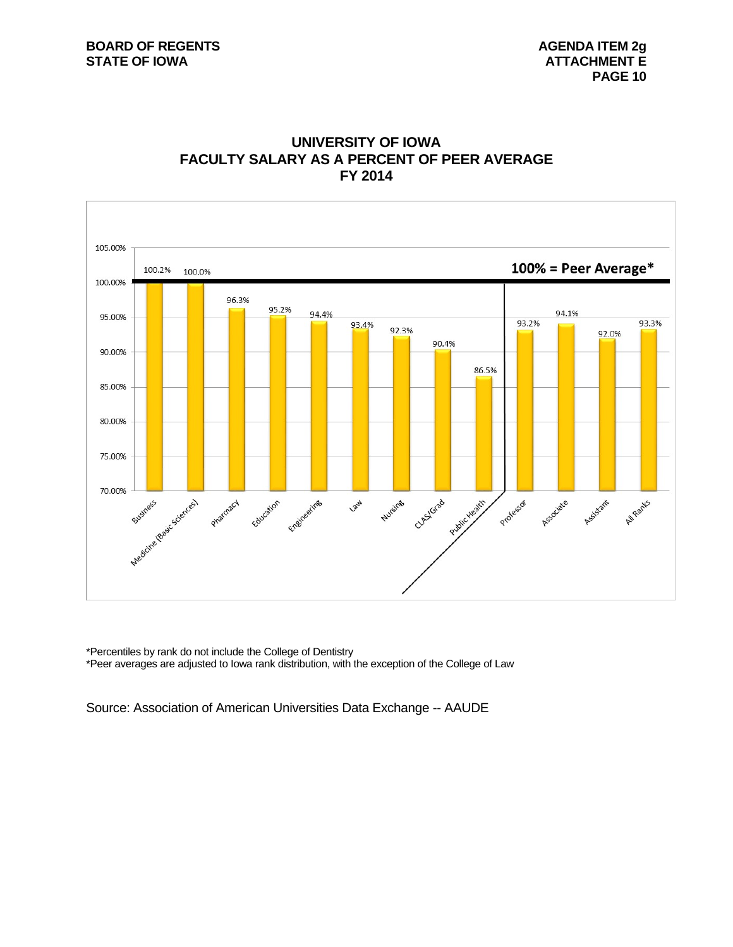



\*Percentiles by rank do not include the College of Dentistry \*Peer averages are adjusted to Iowa rank distribution, with the exception of the College of Law

Source: Association of American Universities Data Exchange -- AAUDE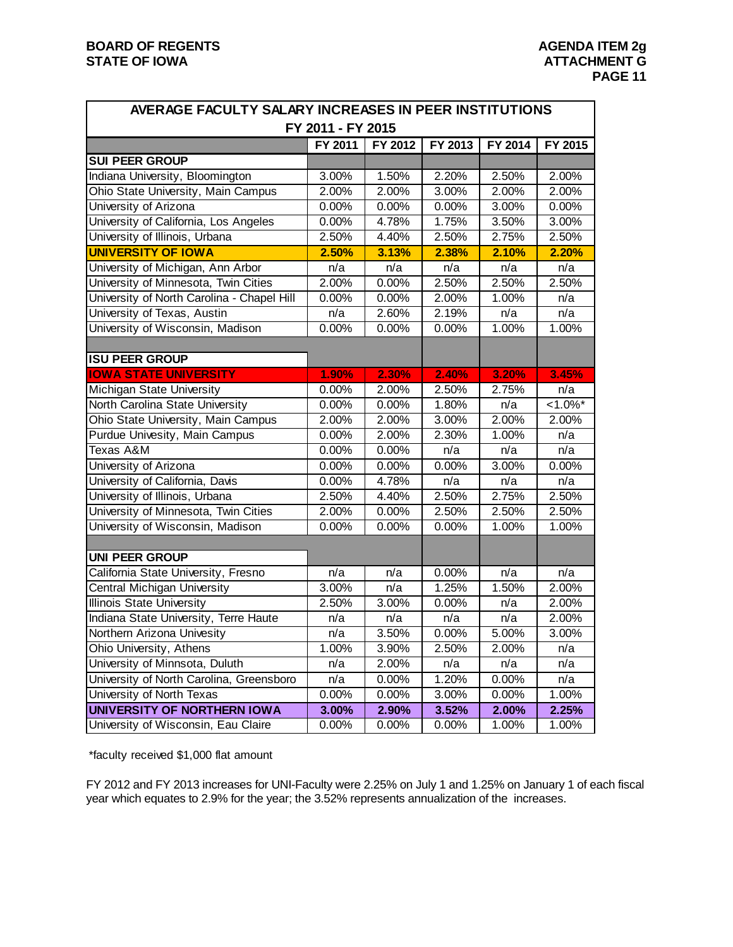| AVERAGE FACULTY SALARY INCREASES IN PEER INSTITUTIONS |                   |         |         |         |                      |
|-------------------------------------------------------|-------------------|---------|---------|---------|----------------------|
|                                                       | FY 2011 - FY 2015 |         |         |         |                      |
|                                                       | FY 2011           | FY 2012 | FY 2013 | FY 2014 | FY 2015              |
| <b>SUI PEER GROUP</b>                                 |                   |         |         |         |                      |
| Indiana University, Bloomington                       | 3.00%             | 1.50%   | 2.20%   | 2.50%   | 2.00%                |
| Ohio State University, Main Campus                    | 2.00%             | 2.00%   | 3.00%   | 2.00%   | 2.00%                |
| University of Arizona                                 | 0.00%             | 0.00%   | 0.00%   | 3.00%   | 0.00%                |
| University of California, Los Angeles                 | 0.00%             | 4.78%   | 1.75%   | 3.50%   | 3.00%                |
| University of Illinois, Urbana                        | 2.50%             | 4.40%   | 2.50%   | 2.75%   | 2.50%                |
| <b>UNIVERSITY OF IOWA</b>                             | 2.50%             | 3.13%   | 2.38%   | 2.10%   | 2.20%                |
| University of Michigan, Ann Arbor                     | n/a               | n/a     | n/a     | n/a     | n/a                  |
| University of Minnesota, Twin Cities                  | 2.00%             | 0.00%   | 2.50%   | 2.50%   | 2.50%                |
| University of North Carolina - Chapel Hill            | 0.00%             | 0.00%   | 2.00%   | 1.00%   | n/a                  |
| University of Texas, Austin                           | n/a               | 2.60%   | 2.19%   | n/a     | n/a                  |
| University of Wisconsin, Madison                      | 0.00%             | 0.00%   | 0.00%   | 1.00%   | 1.00%                |
|                                                       |                   |         |         |         |                      |
| <b>ISU PEER GROUP</b>                                 |                   |         |         |         |                      |
| <b>IOWA STATE UNIVERSITY</b>                          | 1.90%             | 2.30%   | 2.40%   | 3.20%   | 3.45%                |
| Michigan State University                             | 0.00%             | 2.00%   | 2.50%   | 2.75%   | n/a                  |
| North Carolina State University                       | 0.00%             | 0.00%   | 1.80%   | n/a     | $< 1.0\sqrt[6]{s^*}$ |
| Ohio State University, Main Campus                    | 2.00%             | 2.00%   | 3.00%   | 2.00%   | 2.00%                |
| Purdue Univesity, Main Campus                         | 0.00%             | 2.00%   | 2.30%   | 1.00%   | n/a                  |
| Texas A&M                                             | 0.00%             | 0.00%   | n/a     | n/a     | n/a                  |
| University of Arizona                                 | 0.00%             | 0.00%   | 0.00%   | 3.00%   | 0.00%                |
| University of California, Davis                       | 0.00%             | 4.78%   | n/a     | n/a     | n/a                  |
| University of Illinois, Urbana                        | 2.50%             | 4.40%   | 2.50%   | 2.75%   | 2.50%                |
| University of Minnesota, Twin Cities                  | 2.00%             | 0.00%   | 2.50%   | 2.50%   | 2.50%                |
| University of Wisconsin, Madison                      | 0.00%             | 0.00%   | 0.00%   | 1.00%   | 1.00%                |
|                                                       |                   |         |         |         |                      |
| <b>UNI PEER GROUP</b>                                 |                   |         |         |         |                      |
| California State University, Fresno                   | n/a               | n/a     | 0.00%   | n/a     | n/a                  |
| Central Michigan University                           | 3.00%             | n/a     | 1.25%   | 1.50%   | 2.00%                |
| Illinois State University                             | 2.50%             | 3.00%   | 0.00%   | n/a     | 2.00%                |
| Indiana State University, Terre Haute                 | n/a               | n/a     | n/a     | n/a     | 2.00%                |
| Northern Arizona Univesity                            | n/a               | 3.50%   | 0.00%   | 5.00%   | 3.00%                |
| Ohio University, Athens                               | 1.00%             | 3.90%   | 2.50%   | 2.00%   | n/a                  |
| University of Minnsota, Duluth                        | n/a               | 2.00%   | n/a     | n/a     | n/a                  |
| University of North Carolina, Greensboro              | n/a               | 0.00%   | 1.20%   | 0.00%   | n/a                  |
| University of North Texas                             | 0.00%             | 0.00%   | 3.00%   | 0.00%   | 1.00%                |
| UNIVERSITY OF NORTHERN IOWA                           | 3.00%             | 2.90%   | 3.52%   | 2.00%   | 2.25%                |
| University of Wisconsin, Eau Claire                   | 0.00%             | 0.00%   | 0.00%   | 1.00%   | 1.00%                |

\*faculty received \$1,000 flat amount

FY 2012 and FY 2013 increases for UNI-Faculty were 2.25% on July 1 and 1.25% on January 1 of each fiscal year which equates to 2.9% for the year; the 3.52% represents annualization of the increases.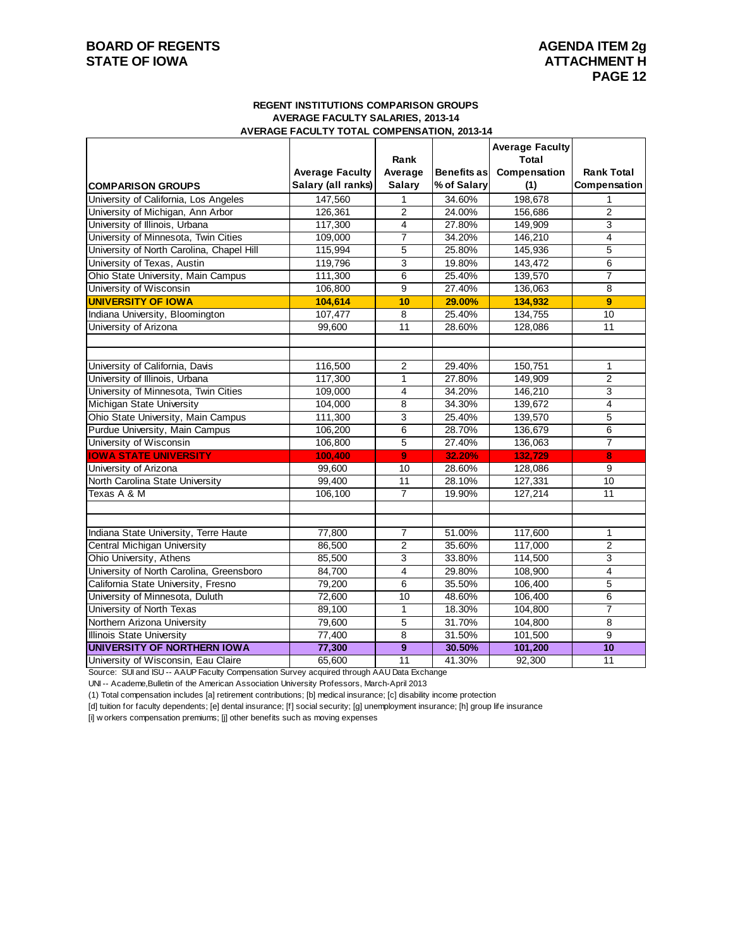## **BOARD OF REGENTS** AGENDA ITEM 2g **STATE OF IOWA ATTACHMENT H**

#### **REGENT INSTITUTIONS COMPARISON GROUPS AVERAGE FACULTY SALARIES, 2013-14 AVERAGE FACULTY TOTAL COMPENSATION, 2013-14**

|                                           |                        |                              |             | <b>Average Faculty</b> |                                |
|-------------------------------------------|------------------------|------------------------------|-------------|------------------------|--------------------------------|
|                                           | <b>Average Faculty</b> | Rank<br>Average              | Benefits as | Total<br>Compensation  | <b>Rank Total</b>              |
| <b>COMPARISON GROUPS</b>                  | Salary (all ranks)     | <b>Salary</b>                | % of Salary | (1)                    | Compensation                   |
| University of California, Los Angeles     | 147,560                | $\mathbf{1}$                 | 34.60%      | 198,678                |                                |
| University of Michigan, Ann Arbor         | 126,361                | $\overline{2}$               | 24.00%      | 156,686                | $\overline{2}$                 |
| University of Illinois, Urbana            | 117,300                | 4                            | 27.80%      | 149,909                | 3                              |
| University of Minnesota, Twin Cities      | 109,000                | $\overline{7}$               | 34.20%      | 146,210                | 4                              |
| University of North Carolina, Chapel Hill | 115,994                | 5                            | 25.80%      | 145,936                | 5                              |
| University of Texas, Austin               | 119,796                | 3                            | 19.80%      | 143,472                | 6                              |
| Ohio State University, Main Campus        | 111,300                | 6                            | 25.40%      | 139,570                | $\overline{7}$                 |
| University of Wisconsin                   | 106,800                | 9                            | 27.40%      | 136,063                | 8                              |
| <b>UNIVERSITY OF IOWA</b>                 | 104,614                | 10                           | 29.00%      | 134,932                | 9                              |
| Indiana University, Bloomington           | 107,477                | 8                            | 25.40%      | 134,755                | 10                             |
| University of Arizona                     | 99,600                 | 11                           | 28.60%      | 128,086                | 11                             |
|                                           |                        |                              |             |                        |                                |
|                                           |                        |                              |             |                        |                                |
| University of California, Davis           | 116,500                | 2                            | 29.40%      | 150,751                | $\mathbf{1}$                   |
| University of Illinois, Urbana            | 117,300                | $\mathbf{1}$                 | 27.80%      | 149,909                | 2                              |
| University of Minnesota, Twin Cities      | 109,000                | $\overline{4}$               | 34.20%      | 146,210                | $\overline{3}$                 |
| <b>Michigan State University</b>          | 104,000                | 8                            | 34.30%      | 139,672                | $\overline{4}$                 |
| Ohio State University, Main Campus        | 111,300                | 3                            | 25.40%      | 139,570                | 5                              |
| Purdue University, Main Campus            | 106,200                | 6                            | 28.70%      | 136,679                | 6                              |
| University of Wisconsin                   | 106,800                | 5                            | 27.40%      | 136,063                | $\overline{7}$                 |
| <b>IOWA STATE UNIVERSITY</b>              | 100,400                | $\overline{9}$               | 32.20%      | 132,729                | 8                              |
| University of Arizona                     | 99,600                 | 10                           | 28.60%      | 128,086                | 9                              |
| North Carolina State University           | 99,400                 | 11                           | 28.10%      | 127,331                | 10                             |
| Texas A & M                               | 106,100                | $\overline{7}$               | 19.90%      | 127,214                | 11                             |
|                                           |                        |                              |             |                        |                                |
| Indiana State University, Terre Haute     |                        |                              | 51.00%      |                        |                                |
|                                           | 77,800                 | $\overline{7}$               |             | 117,600                | $\mathbf{1}$<br>$\overline{2}$ |
| Central Michigan University               | 86,500                 | $\overline{2}$               | 35.60%      | 117,000                |                                |
| Ohio University, Athens                   | 85,500                 | 3<br>$\overline{\mathbf{4}}$ | 33.80%      | 114,500                | 3                              |
| University of North Carolina, Greensboro  | 84,700                 |                              | 29.80%      | 108,900                | 4                              |
| California State University, Fresno       | 79,200                 | $\overline{6}$               | 35.50%      | 106,400                | 5<br>6                         |
| University of Minnesota, Duluth           | 72,600                 | 10                           | 48.60%      | 106,400                |                                |
| University of North Texas                 | 89,100                 | $\mathbf{1}$                 | 18.30%      | 104,800                | $\overline{7}$                 |
| Northern Arizona University               | 79,600                 | 5                            | 31.70%      | 104,800                | 8                              |
| <b>Illinois State University</b>          | 77,400                 | $\overline{8}$               | 31.50%      | 101,500                | 9                              |
| <b>UNIVERSITY OF NORTHERN IOWA</b>        | 77,300                 | $\boldsymbol{9}$             | 30.50%      | 101,200                | 10                             |
| University of Wisconsin, Eau Claire       | 65,600                 | 11                           | 41.30%      | 92,300                 | 11                             |

Source: SUI and ISU -- AAUP Faculty Compensation Survey acquired through AAU Data Exchange

UNI -- Academe,Bulletin of the American Association University Professors, March-April 2013

(1) Total compensation includes [a] retirement contributions; [b] medical insurance; [c] disability income protection

[d] tuition for faculty dependents; [e] dental insurance; [f] social security; [g] unemployment insurance; [h] group life insurance

[i] w orkers compensation premiums; [j] other benefits such as moving expenses